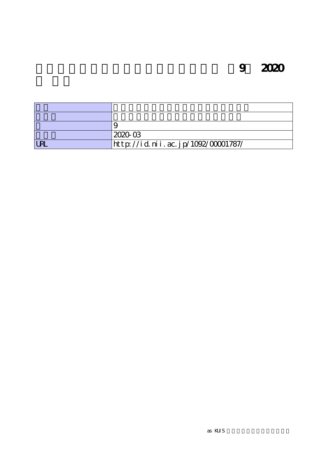**9** 2020

|            | 202003                             |
|------------|------------------------------------|
| <b>LRL</b> | http://id.nii.ac.jp/1092/00001787/ |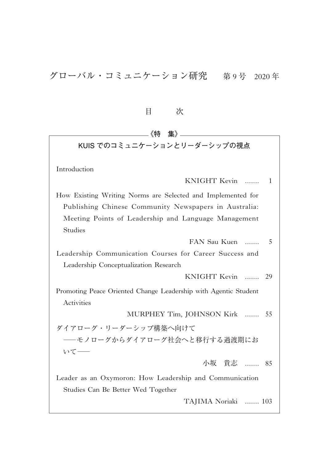目 次 **《特 集》 KUIS でのコミュニケーションとリーダーシップの視点** Introduction KNIGHT Kevin ....... 1 How Existing Writing Norms are Selected and Implemented for Publishing Chinese Community Newspapers in Australia: Meeting Points of Leadership and Language Management Studies FAN Sau Kuen ....... 5 Leadership Communication Courses for Career Success and Leadership Conceptualization Research KNIGHT Kevin ....... 29 Promoting Peace Oriented Change Leadership with Agentic Student Activities MURPHEY Tim, JOHNSON Kirk ....... 55 ダイアローグ・リーダーシップ構築へ向けて ―モノローグからダイアローグ社会へと移行する過渡期にお いて― 小坂 貴志 ....... 85 Leader as an Oxymoron: How Leadership and Communication Studies Can Be Better Wed Together TAJIMA Noriaki ....... 103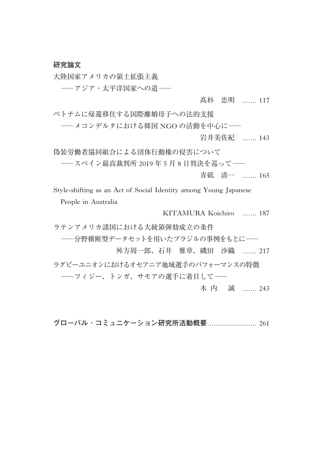#### **研究論文**

大陸国家アメリカの領土拡張主義

―アジア・太平洋国家への道―

#### 髙杉 忠明 ...... 117

ベトナムに帰還移住する国際離婚母子への法的支援

―メコンデルタにおける韓国 NGO の活動を中心に― 岩井美佐紀 ....... 143

偽装労働者協同組合による団体行動権の侵害について

―スペイン最高裁判所 <sup>2019</sup> <sup>年</sup> <sup>5</sup> <sup>月</sup> <sup>8</sup> 日判決を巡って―

青砥 清一 ....... 165

 Style-shifting as an Act of Social Identity among Young Japanese People in Australia

KITAMURA Koichiro ....... 187

ラテンアメリカ諸国における大統領弾劾成立の条件

―分野横断型データセットを用いたブラジルの事例をもとに―

舛方周一郎、石井 雅章、磯田 沙織 ....... 217

ラグビーユニオンにおけるオセアニア地域選手のパフォーマンスの特徴 ―フィジー、トンガ、サモアの選手に着目して―

木 内 誠 ....... 243

**グローバル**・**コミュニケーション研究所活動概要**........................ 261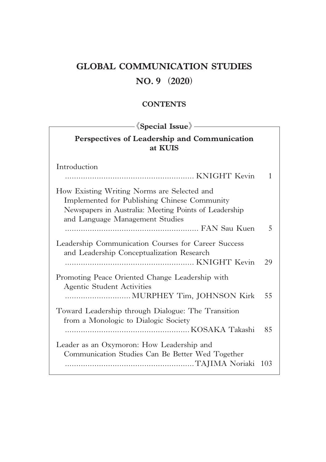## **GLOBAL COMMUNICATION STUDIES**

## **NO. 9** (**2020**)

### **CONTENTS**

| — $\langle$ Special Issue $\rangle$ -<br>Perspectives of Leadership and Communication<br>at KUIS                                                                                        |     |  |
|-----------------------------------------------------------------------------------------------------------------------------------------------------------------------------------------|-----|--|
|                                                                                                                                                                                         |     |  |
| How Existing Writing Norms are Selected and<br>Implemented for Publishing Chinese Community<br>Newspapers in Australia: Meeting Points of Leadership<br>and Language Management Studies |     |  |
|                                                                                                                                                                                         | 5   |  |
| Leadership Communication Courses for Career Success<br>and Leadership Conceptualization Research                                                                                        | 29  |  |
| Promoting Peace Oriented Change Leadership with<br>Agentic Student Activities                                                                                                           |     |  |
| Toward Leadership through Dialogue: The Transition<br>from a Monologic to Dialogic Society                                                                                              | 85  |  |
| Leader as an Oxymoron: How Leadership and<br>Communication Studies Can Be Better Wed Together                                                                                           | 103 |  |